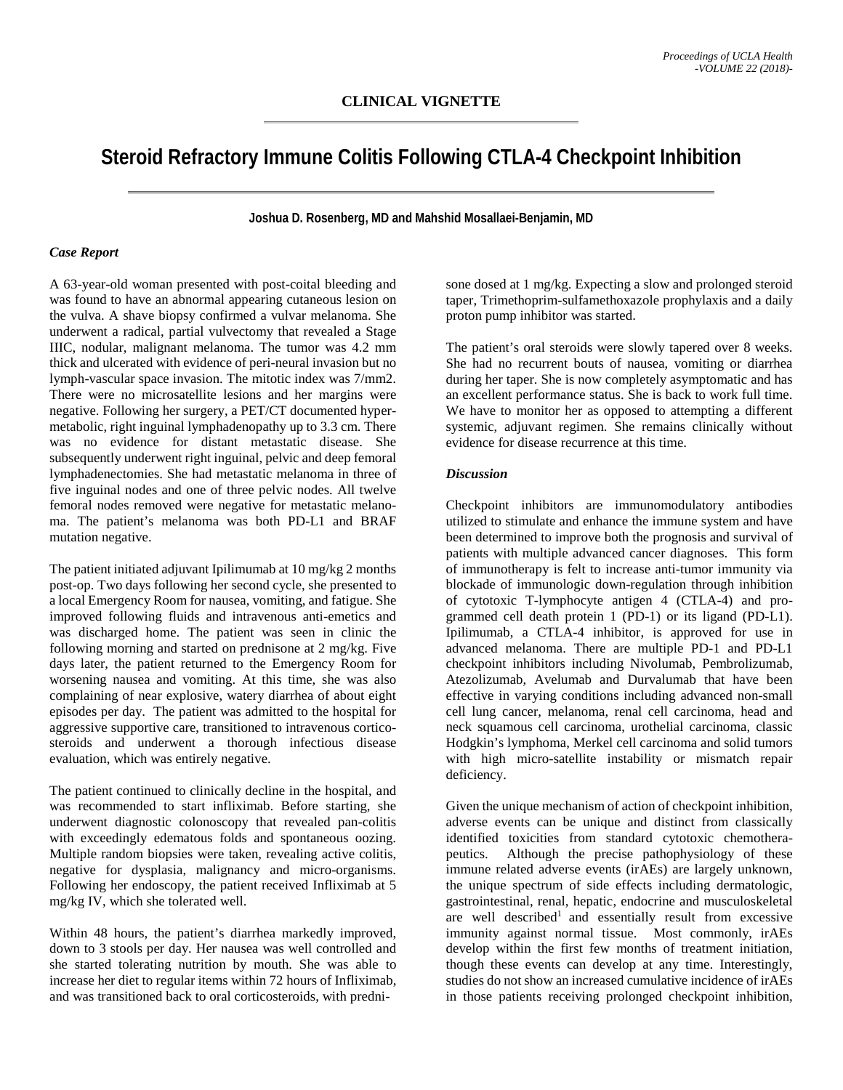## **Steroid Refractory Immune Colitis Following CTLA-4 Checkpoint Inhibition**

**Joshua D. Rosenberg, MD and Mahshid Mosallaei-Benjamin, MD**

## *Case Report*

A 63-year-old woman presented with post-coital bleeding and was found to have an abnormal appearing cutaneous lesion on the vulva. A shave biopsy confirmed a vulvar melanoma. She underwent a radical, partial vulvectomy that revealed a Stage IIIC, nodular, malignant melanoma. The tumor was 4.2 mm thick and ulcerated with evidence of peri-neural invasion but no lymph-vascular space invasion. The mitotic index was 7/mm2. There were no microsatellite lesions and her margins were negative. Following her surgery, a PET/CT documented hypermetabolic, right inguinal lymphadenopathy up to 3.3 cm. There was no evidence for distant metastatic disease. She subsequently underwent right inguinal, pelvic and deep femoral lymphadenectomies. She had metastatic melanoma in three of five inguinal nodes and one of three pelvic nodes. All twelve femoral nodes removed were negative for metastatic melanoma. The patient's melanoma was both PD-L1 and BRAF mutation negative.

The patient initiated adjuvant Ipilimumab at 10 mg/kg 2 months post-op. Two days following her second cycle, she presented to a local Emergency Room for nausea, vomiting, and fatigue. She improved following fluids and intravenous anti-emetics and was discharged home. The patient was seen in clinic the following morning and started on prednisone at 2 mg/kg. Five days later, the patient returned to the Emergency Room for worsening nausea and vomiting. At this time, she was also complaining of near explosive, watery diarrhea of about eight episodes per day. The patient was admitted to the hospital for aggressive supportive care, transitioned to intravenous corticosteroids and underwent a thorough infectious disease evaluation, which was entirely negative.

The patient continued to clinically decline in the hospital, and was recommended to start infliximab. Before starting, she underwent diagnostic colonoscopy that revealed pan-colitis with exceedingly edematous folds and spontaneous oozing. Multiple random biopsies were taken, revealing active colitis, negative for dysplasia, malignancy and micro-organisms. Following her endoscopy, the patient received Infliximab at 5 mg/kg IV, which she tolerated well.

Within 48 hours, the patient's diarrhea markedly improved, down to 3 stools per day. Her nausea was well controlled and she started tolerating nutrition by mouth. She was able to increase her diet to regular items within 72 hours of Infliximab, and was transitioned back to oral corticosteroids, with predni-

sone dosed at 1 mg/kg. Expecting a slow and prolonged steroid taper, Trimethoprim-sulfamethoxazole prophylaxis and a daily proton pump inhibitor was started.

The patient's oral steroids were slowly tapered over 8 weeks. She had no recurrent bouts of nausea, vomiting or diarrhea during her taper. She is now completely asymptomatic and has an excellent performance status. She is back to work full time. We have to monitor her as opposed to attempting a different systemic, adjuvant regimen. She remains clinically without evidence for disease recurrence at this time.

## *Discussion*

Checkpoint inhibitors are immunomodulatory antibodies utilized to stimulate and enhance the immune system and have been determined to improve both the prognosis and survival of patients with multiple advanced cancer diagnoses. This form of immunotherapy is felt to increase anti-tumor immunity via blockade of immunologic down-regulation through inhibition of cytotoxic T-lymphocyte antigen 4 (CTLA-4) and programmed cell death protein 1 (PD-1) or its ligand (PD-L1). Ipilimumab, a CTLA-4 inhibitor, is approved for use in advanced melanoma. There are multiple PD-1 and PD-L1 checkpoint inhibitors including Nivolumab, Pembrolizumab, Atezolizumab, Avelumab and Durvalumab that have been effective in varying conditions including advanced non-small cell lung cancer, melanoma, renal cell carcinoma, head and neck squamous cell carcinoma, urothelial carcinoma, classic Hodgkin's lymphoma, Merkel cell carcinoma and solid tumors with high micro-satellite instability or mismatch repair deficiency.

Given the unique mechanism of action of checkpoint inhibition, adverse events can be unique and distinct from classically identified toxicities from standard cytotoxic chemotherapeutics. Although the precise pathophysiology of these immune related adverse events (irAEs) are largely unknown, the unique spectrum of side effects including dermatologic, gastrointestinal, renal, hepatic, endocrine and musculoskeletal are well described<sup>1</sup> and essentially result from excessive immunity against normal tissue. Most commonly, irAEs develop within the first few months of treatment initiation, though these events can develop at any time. Interestingly, studies do not show an increased cumulative incidence of irAEs in those patients receiving prolonged checkpoint inhibition,